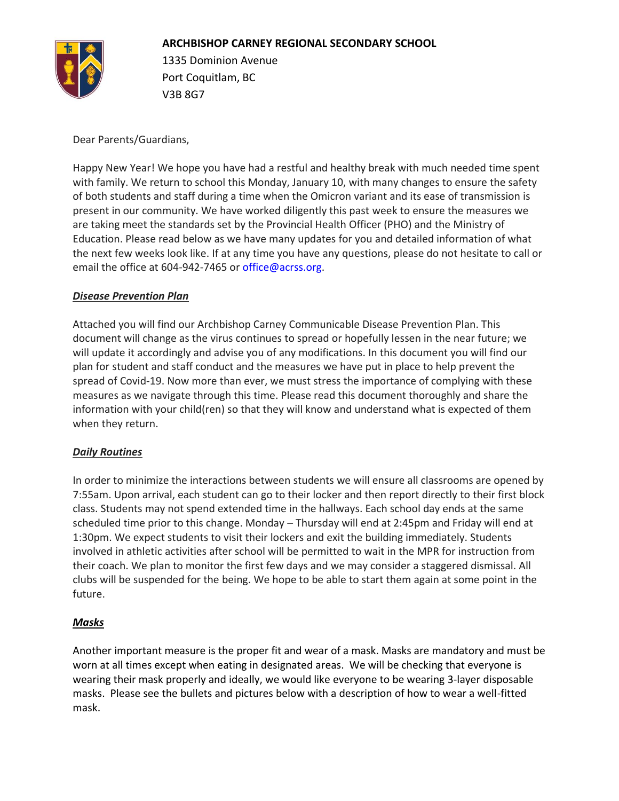

1335 Dominion Avenue Port Coquitlam, BC V3B 8G7

Dear Parents/Guardians,

Happy New Year! We hope you have had a restful and healthy break with much needed time spent with family. We return to school this Monday, January 10, with many changes to ensure the safety of both students and staff during a time when the Omicron variant and its ease of transmission is present in our community. We have worked diligently this past week to ensure the measures we are taking meet the standards set by the Provincial Health Officer (PHO) and the Ministry of Education. Please read below as we have many updates for you and detailed information of what the next few weeks look like. If at any time you have any questions, please do not hesitate to call or email the office at 604-942-7465 or office@acrss.org.

#### *Disease Prevention Plan*

Attached you will find our Archbishop Carney Communicable Disease Prevention Plan. This document will change as the virus continues to spread or hopefully lessen in the near future; we will update it accordingly and advise you of any modifications. In this document you will find our plan for student and staff conduct and the measures we have put in place to help prevent the spread of Covid-19. Now more than ever, we must stress the importance of complying with these measures as we navigate through this time. Please read this document thoroughly and share the information with your child(ren) so that they will know and understand what is expected of them when they return.

# *Daily Routines*

In order to minimize the interactions between students we will ensure all classrooms are opened by 7:55am. Upon arrival, each student can go to their locker and then report directly to their first block class. Students may not spend extended time in the hallways. Each school day ends at the same scheduled time prior to this change. Monday – Thursday will end at 2:45pm and Friday will end at 1:30pm. We expect students to visit their lockers and exit the building immediately. Students involved in athletic activities after school will be permitted to wait in the MPR for instruction from their coach. We plan to monitor the first few days and we may consider a staggered dismissal. All clubs will be suspended for the being. We hope to be able to start them again at some point in the future.

# *Masks*

Another important measure is the proper fit and wear of a mask. Masks are mandatory and must be worn at all times except when eating in designated areas. We will be checking that everyone is wearing their mask properly and ideally, we would like everyone to be wearing 3-layer disposable masks. Please see the bullets and pictures below with a description of how to wear a well-fitted mask.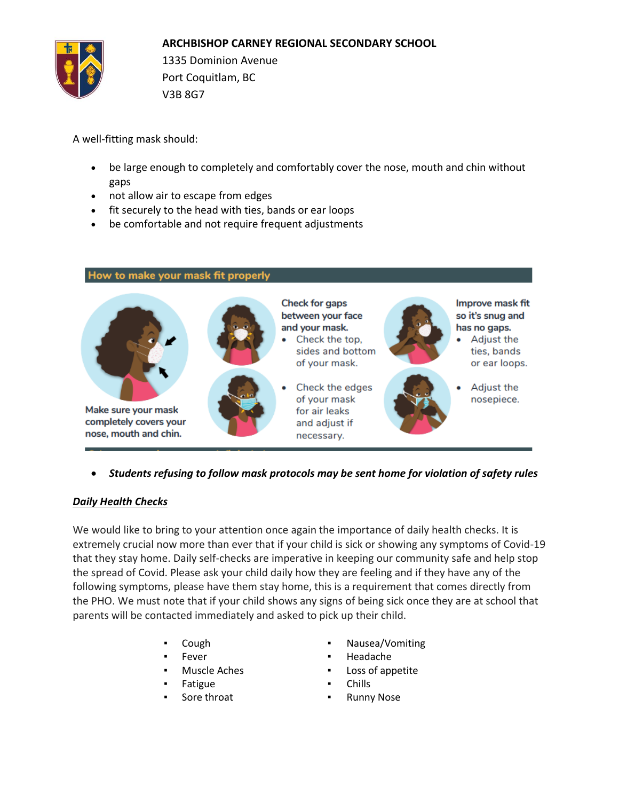

1335 Dominion Avenue Port Coquitlam, BC V3B 8G7

A well-fitting mask should:

- be large enough to completely and comfortably cover the nose, mouth and chin without gaps
- not allow air to escape from edges
- fit securely to the head with ties, bands or ear loops
- be comfortable and not require frequent adjustments

#### How to make your mask fit properly



• *Students refusing to follow mask protocols may be sent home for violation of safety rules*

# *Daily Health Checks*

We would like to bring to your attention once again the importance of daily health checks. It is extremely crucial now more than ever that if your child is sick or showing any symptoms of Covid-19 that they stay home. Daily self-checks are imperative in keeping our community safe and help stop the spread of Covid. Please ask your child daily how they are feeling and if they have any of the following symptoms, please have them stay home, this is a requirement that comes directly from the PHO. We must note that if your child shows any signs of being sick once they are at school that parents will be contacted immediately and asked to pick up their child.

- 
- 
- 
- 
- 
- Cough **The Cough Teleconomy of Cough**  Nausea/Vomiting
- Fever **Example 2018 The Headache**
- **Muscle Aches ■** Loss of appetite
- Fatigue **Example 2018**
- Sore throat **Exercise Exercise Exercise Runny Nose**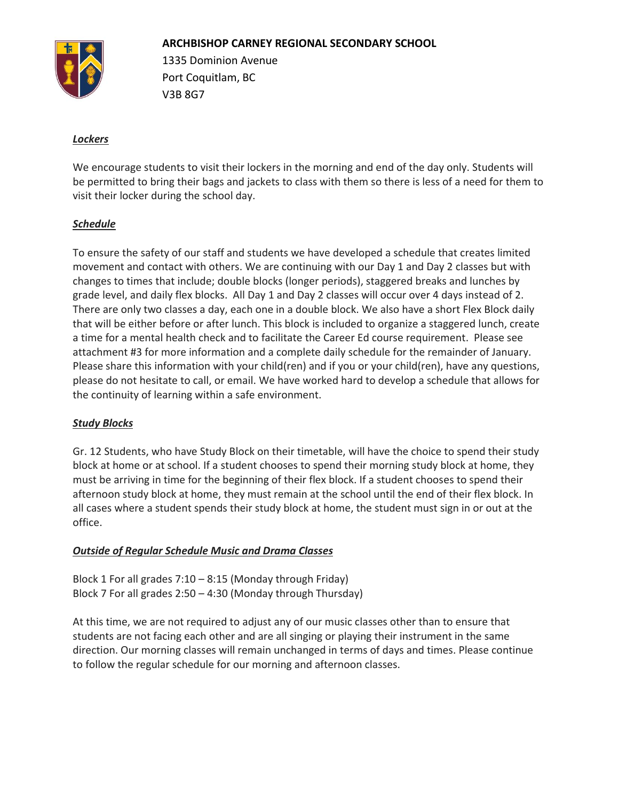

1335 Dominion Avenue Port Coquitlam, BC V3B 8G7

### *Lockers*

We encourage students to visit their lockers in the morning and end of the day only. Students will be permitted to bring their bags and jackets to class with them so there is less of a need for them to visit their locker during the school day.

#### *Schedule*

To ensure the safety of our staff and students we have developed a schedule that creates limited movement and contact with others. We are continuing with our Day 1 and Day 2 classes but with changes to times that include; double blocks (longer periods), staggered breaks and lunches by grade level, and daily flex blocks. All Day 1 and Day 2 classes will occur over 4 days instead of 2. There are only two classes a day, each one in a double block. We also have a short Flex Block daily that will be either before or after lunch. This block is included to organize a staggered lunch, create a time for a mental health check and to facilitate the Career Ed course requirement. Please see attachment #3 for more information and a complete daily schedule for the remainder of January. Please share this information with your child(ren) and if you or your child(ren), have any questions, please do not hesitate to call, or email. We have worked hard to develop a schedule that allows for the continuity of learning within a safe environment.

# *Study Blocks*

Gr. 12 Students, who have Study Block on their timetable, will have the choice to spend their study block at home or at school. If a student chooses to spend their morning study block at home, they must be arriving in time for the beginning of their flex block. If a student chooses to spend their afternoon study block at home, they must remain at the school until the end of their flex block. In all cases where a student spends their study block at home, the student must sign in or out at the office.

#### *Outside of Regular Schedule Music and Drama Classes*

Block 1 For all grades  $7:10 - 8:15$  (Monday through Friday) Block 7 For all grades 2:50 – 4:30 (Monday through Thursday)

At this time, we are not required to adjust any of our music classes other than to ensure that students are not facing each other and are all singing or playing their instrument in the same direction. Our morning classes will remain unchanged in terms of days and times. Please continue to follow the regular schedule for our morning and afternoon classes.